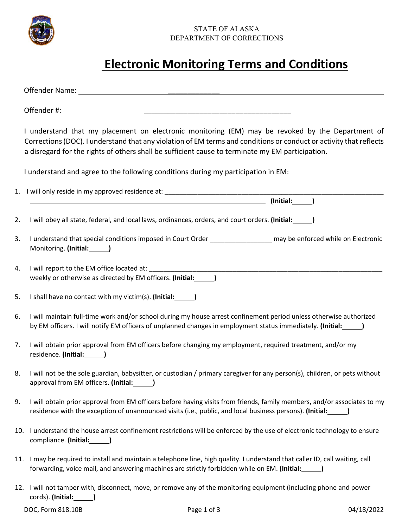

## STATE OF ALASKA DEPARTMENT OF CORRECTIONS

## **Electronic Monitoring Terms and Conditions**

|     | I understand that my placement on electronic monitoring (EM) may be revoked by the Department of<br>Corrections (DOC). I understand that any violation of EM terms and conditions or conduct or activity that reflects<br>a disregard for the rights of others shall be sufficient cause to terminate my EM participation. |
|-----|----------------------------------------------------------------------------------------------------------------------------------------------------------------------------------------------------------------------------------------------------------------------------------------------------------------------------|
|     | I understand and agree to the following conditions during my participation in EM:                                                                                                                                                                                                                                          |
|     |                                                                                                                                                                                                                                                                                                                            |
| 2.  | I will obey all state, federal, and local laws, ordinances, orders, and court orders. (Initial:                                                                                                                                                                                                                            |
| 3.  | I understand that special conditions imposed in Court Order ____________________ may be enforced while on Electronic<br>Monitoring. (Initial: )                                                                                                                                                                            |
| 4.  | I will report to the EM office located at:<br>weekly or otherwise as directed by EM officers. (Initial:                                                                                                                                                                                                                    |
| 5.  | I shall have no contact with my victim(s). (Initial: ________)                                                                                                                                                                                                                                                             |
| 6.  | I will maintain full-time work and/or school during my house arrest confinement period unless otherwise authorized<br>by EM officers. I will notify EM officers of unplanned changes in employment status immediately. (Initial:<br>>>>>>>>>                                                                               |
| 7.  | I will obtain prior approval from EM officers before changing my employment, required treatment, and/or my<br>residence. (Initial: )                                                                                                                                                                                       |
| 8.  | I will not be the sole guardian, babysitter, or custodian / primary caregiver for any person(s), children, or pets without<br>approval from EM officers. (Initial: 1974)                                                                                                                                                   |
| 9.  | I will obtain prior approval from EM officers before having visits from friends, family members, and/or associates to my<br>residence with the exception of unannounced visits (i.e., public, and local business persons). (Initial:                                                                                       |
| 10. | I understand the house arrest confinement restrictions will be enforced by the use of electronic technology to ensure<br>compliance. (Initial: )                                                                                                                                                                           |
| 11. | I may be required to install and maintain a telephone line, high quality. I understand that caller ID, call waiting, call<br>forwarding, voice mail, and answering machines are strictly forbidden while on EM. (Initial: \[ ___                                                                                           |
| 12. | I will not tamper with, disconnect, move, or remove any of the monitoring equipment (including phone and power<br>cords). (Initial:                                                                                                                                                                                        |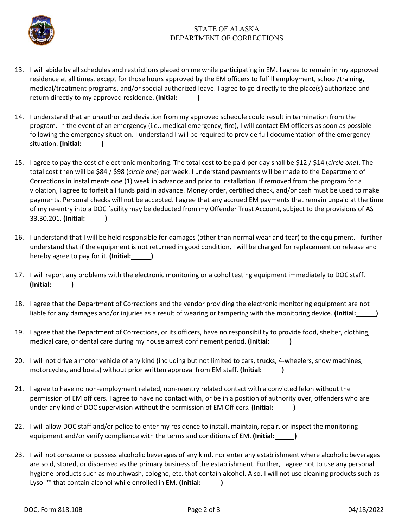

## STATE OF ALASKA DEPARTMENT OF CORRECTIONS

- 13. I will abide by all schedules and restrictions placed on me while participating in EM. I agree to remain in my approved residence at all times, except for those hours approved by the EM officers to fulfill employment, school/training, medical/treatment programs, and/or special authorized leave. I agree to go directly to the place(s) authorized and return directly to my approved residence. **(Initial: )**
- 14. I understand that an unauthorized deviation from my approved schedule could result in termination from the program. In the event of an emergency (i.e., medical emergency, fire), I will contact EM officers as soon as possible following the emergency situation. I understand I will be required to provide full documentation of the emergency situation. **(Initial: )**
- 15. I agree to pay the cost of electronic monitoring. The total cost to be paid per day shall be \$12 / \$14 (*circle one*). The total cost then will be \$84 / \$98 (*circle one*) per week. I understand payments will be made to the Department of Corrections in installments one (1) week in advance and prior to installation. If removed from the program for a violation, I agree to forfeit all funds paid in advance. Money order, certified check, and/or cash must be used to make payments. Personal checks will not be accepted. I agree that any accrued EM payments that remain unpaid at the time of my re-entry into a DOC facility may be deducted from my Offender Trust Account, subject to the provisions of AS 33.30.201. **(Initial: )**
- 16. I understand that I will be held responsible for damages (other than normal wear and tear) to the equipment. I further understand that if the equipment is not returned in good condition, I will be charged for replacement on release and hereby agree to pay for it. **(Initial: )**
- 17. I will report any problems with the electronic monitoring or alcohol testing equipment immediately to DOC staff. **(Initial: )**
- 18. I agree that the Department of Corrections and the vendor providing the electronic monitoring equipment are not liable for any damages and/or injuries as a result of wearing or tampering with the monitoring device. **(Initial: )**
- 19. I agree that the Department of Corrections, or its officers, have no responsibility to provide food, shelter, clothing, medical care, or dental care during my house arrest confinement period. (Initial:
- 20. I will not drive a motor vehicle of any kind (including but not limited to cars, trucks, 4-wheelers, snow machines, motorcycles, and boats) without prior written approval from EM staff. **(Initial: )**
- 21. I agree to have no non-employment related, non-reentry related contact with a convicted felon without the permission of EM officers. I agree to have no contact with, or be in a position of authority over, offenders who are under any kind of DOC supervision without the permission of EM Officers. **(Initial: )**
- 22. I will allow DOC staff and/or police to enter my residence to install, maintain, repair, or inspect the monitoring equipment and/or verify compliance with the terms and conditions of EM. (Initial:  $\qquad \qquad$  )
- 23. I will not consume or possess alcoholic beverages of any kind, nor enter any establishment where alcoholic beverages are sold, stored, or dispensed as the primary business of the establishment. Further, I agree not to use any personal hygiene products such as mouthwash, cologne, etc. that contain alcohol. Also, I will not use cleaning products such as Lysol ™ that contain alcohol while enrolled in EM. **(Initial: )**